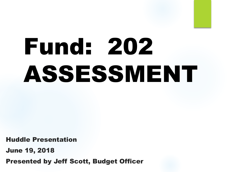# Fund: 202 ASSESSMENT

Huddle Presentation

June 19, 2018

Presented by Jeff Scott, Budget Officer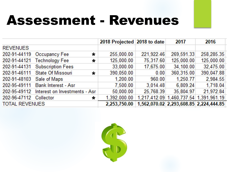### Assessment - Revenues

|                           |                                           | 2018 Projected 2018 to date |            | 2017       | 2016                                   |
|---------------------------|-------------------------------------------|-----------------------------|------------|------------|----------------------------------------|
| <b>REVENUES</b>           |                                           |                             |            |            |                                        |
|                           | 202-91-44119 Occupancy Fee<br>$\star$     | 255,000.00                  | 221,922.46 | 269,591.33 | 258,285.35                             |
| 202-91-44121              | <b>Technology Fee</b><br>$\star$          | 125,000.00                  | 75,317.60  | 125,000.00 | 125,000.00                             |
|                           | 202-91-44131 Subscription Fees            | 33,000.00                   | 17,675.00  | 34,100.00  | 32,475.00                              |
|                           | 202-91-46111 State Of Missouri<br>$\star$ | 390,050.00                  | 0.00       | 360,315.00 | 390,047.88                             |
| 202-91-48103 Sale of Maps |                                           | 1,200.00                    | 960.00     | 1,250.77   | 2,984.55                               |
|                           | 202-95-49111 Bank Interest - Asr          | 7,500.00                    | 3,014.48   | 6,809.24   | 1,718.04                               |
| 202-95-49112              | Interest on Investments - Asr             | 50,000.00                   | 25,768.39  | 35,804.97  | 21,972.84                              |
| 202-96-47112 Collector    | $\star$                                   | 1,392,000.00                |            |            | 1,217,412.09 1,460,737.54 1,391,961.19 |
| <b>TOTAL REVENUES</b>     |                                           | 2,253,750.00                |            |            | 1,562,070.02 2,293,608.85 2,224,444.85 |

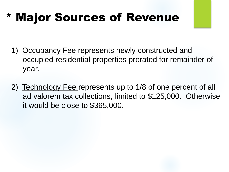#### \* Major Sources of Revenue

- 1) Occupancy Fee represents newly constructed and occupied residential properties prorated for remainder of year.
- 2) Technology Fee represents up to 1/8 of one percent of all ad valorem tax collections, limited to \$125,000. Otherwise it would be close to \$365,000.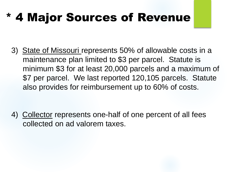#### **4 Major Sources of Revenue**

3) State of Missouri represents 50% of allowable costs in a maintenance plan limited to \$3 per parcel. Statute is minimum \$3 for at least 20,000 parcels and a maximum of \$7 per parcel. We last reported 120,105 parcels. Statute also provides for reimbursement up to 60% of costs.

4) Collector represents one-half of one percent of all fees collected on ad valorem taxes.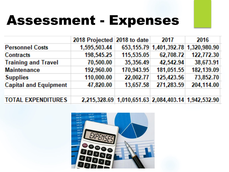## Assessment - Expenses

|                              | 2018 Projected 2018 to date |                                                     | 2017       | 2016                                      |
|------------------------------|-----------------------------|-----------------------------------------------------|------------|-------------------------------------------|
| <b>Personnel Costs</b>       | 1,595,503.44                |                                                     |            | 653, 155.79 1, 401, 392.78 1, 320, 980.90 |
| Contracts                    | 198,545.25                  | 115,535.05                                          | 62,708.72  | 122,772.30                                |
| <b>Training and Travel</b>   | 70,500.00                   | 35,356.49                                           | 42,542.94  | 38,673.91                                 |
| <b>Maintenance</b>           | 192,960.00                  | 170,943.95                                          | 181,051.55 | 182,139.09                                |
| <b>Supplies</b>              | 110,000.00                  | 22,002.77                                           | 125,423.56 | 73,852.70                                 |
| <b>Capital and Equipment</b> | 47,820.00                   | 13,657.58                                           | 271,283.59 | 204,114.00                                |
|                              |                             |                                                     |            |                                           |
| <b>TOTAL EXPENDITURES</b>    |                             | 2,215,328.69 1,010,651.63 2,084,403.14 1,942,532.90 |            |                                           |

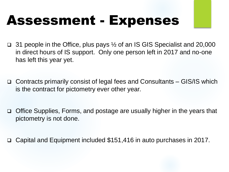# Assessment - Expenses

- **31 people in the Office, plus pays**  $\frac{1}{2}$  **of an IS GIS Specialist and 20,000** in direct hours of IS support. Only one person left in 2017 and no-one has left this year yet.
- Contracts primarily consist of legal fees and Consultants GIS/IS which is the contract for pictometry ever other year.
- Office Supplies, Forms, and postage are usually higher in the years that pictometry is not done.
- Capital and Equipment included \$151,416 in auto purchases in 2017.